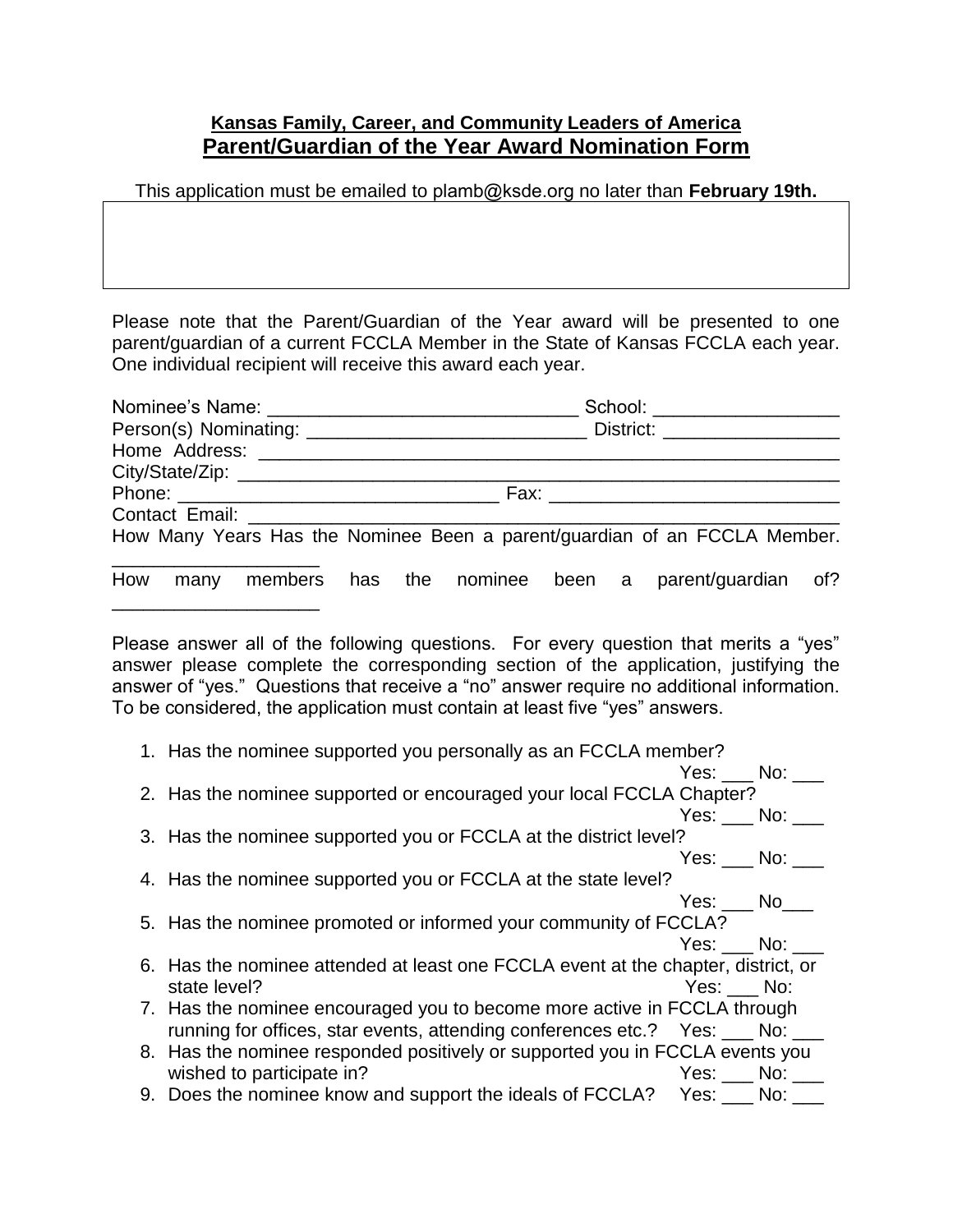## **Kansas Family, Career, and Community Leaders of America Parent/Guardian of the Year Award Nomination Form**

This application must be emailed to plamb@ksde.org no later than **February 19th.**

Please note that the Parent/Guardian of the Year award will be presented to one parent/guardian of a current FCCLA Member in the State of Kansas FCCLA each year. One individual recipient will receive this award each year.

|          |  |  |  |  | School: ____________________ |  |                                                                           |     |  |  |  |  |
|----------|--|--|--|--|------------------------------|--|---------------------------------------------------------------------------|-----|--|--|--|--|
|          |  |  |  |  |                              |  |                                                                           |     |  |  |  |  |
|          |  |  |  |  |                              |  |                                                                           |     |  |  |  |  |
|          |  |  |  |  |                              |  |                                                                           |     |  |  |  |  |
|          |  |  |  |  |                              |  |                                                                           |     |  |  |  |  |
|          |  |  |  |  |                              |  |                                                                           |     |  |  |  |  |
|          |  |  |  |  |                              |  | How Many Years Has the Nominee Been a parent/guardian of an FCCLA Member. |     |  |  |  |  |
| How many |  |  |  |  |                              |  | members has the nominee been a parent/guardian                            | of? |  |  |  |  |

Please answer all of the following questions. For every question that merits a "yes" answer please complete the corresponding section of the application, justifying the answer of "yes." Questions that receive a "no" answer require no additional information. To be considered, the application must contain at least five "yes" answers.

\_\_\_\_\_\_\_\_\_\_\_\_\_\_\_\_\_\_\_\_

| 1. Has the nominee supported you personally as an FCCLA member?                   |          |  |
|-----------------------------------------------------------------------------------|----------|--|
|                                                                                   | Yes: No: |  |
| 2. Has the nominee supported or encouraged your local FCCLA Chapter?              |          |  |
|                                                                                   | Yes: No: |  |
| 3. Has the nominee supported you or FCCLA at the district level?                  |          |  |
|                                                                                   | Yes: No: |  |
| 4. Has the nominee supported you or FCCLA at the state level?                     |          |  |
|                                                                                   | Yes: No  |  |
| 5. Has the nominee promoted or informed your community of FCCLA?                  |          |  |
|                                                                                   | Yes: No: |  |
| 6. Has the nominee attended at least one FCCLA event at the chapter, district, or |          |  |
| state level?                                                                      | Yes: No: |  |
| 7. Has the nominee encouraged you to become more active in FCCLA through          |          |  |
| running for offices, star events, attending conferences etc.? Yes: ___ No: _      |          |  |
| 8. Has the nominee responded positively or supported you in FCCLA events you      |          |  |
| wished to participate in?                                                         | Yes: No: |  |
| 9. Does the nominee know and support the ideals of FCCLA? Yes: ___ No: _          |          |  |
|                                                                                   |          |  |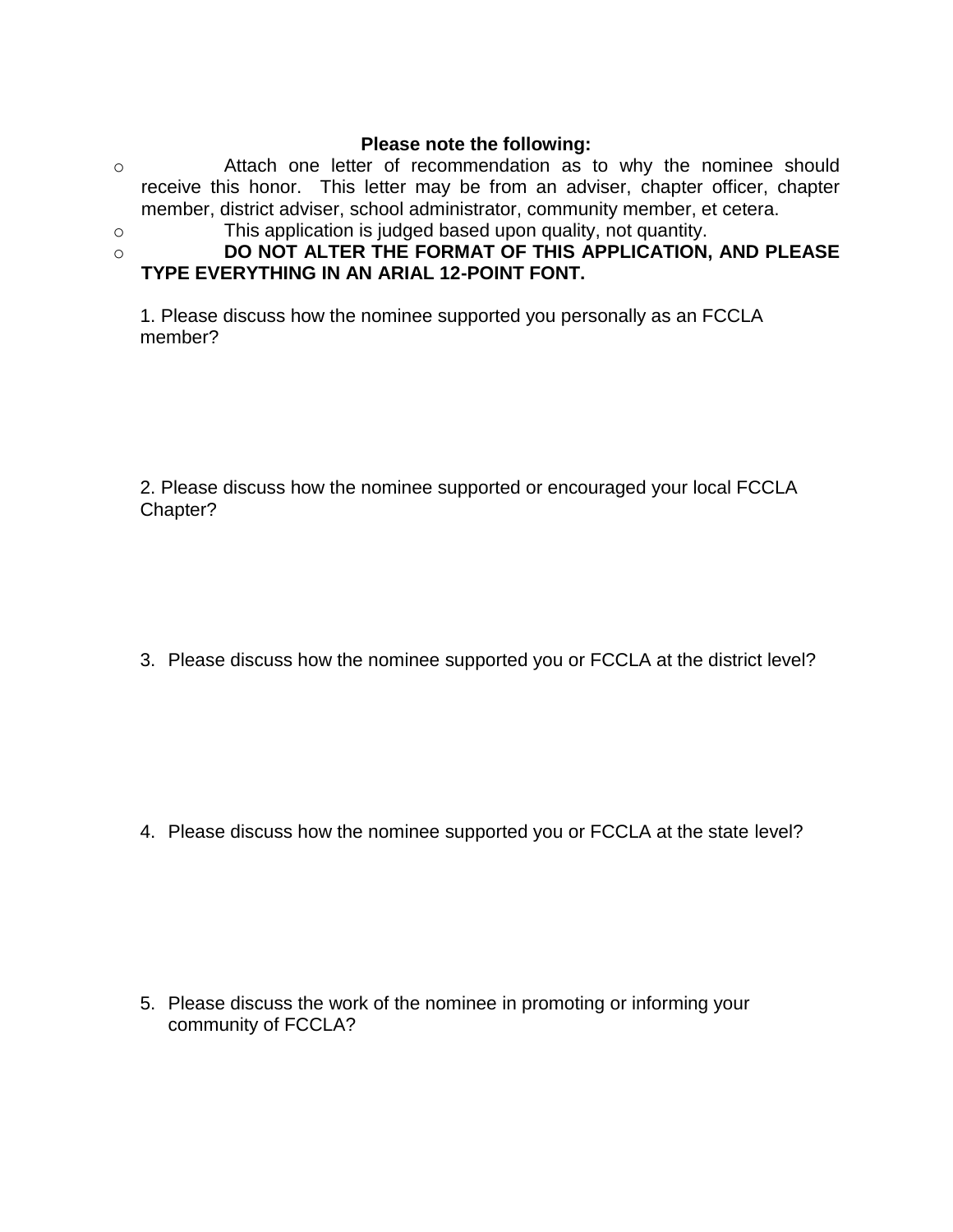## **Please note the following:**

- o Attach one letter of recommendation as to why the nominee should receive this honor. This letter may be from an adviser, chapter officer, chapter member, district adviser, school administrator, community member, et cetera.
- 
- o This application is judged based upon quality, not quantity.
- o **DO NOT ALTER THE FORMAT OF THIS APPLICATION, AND PLEASE TYPE EVERYTHING IN AN ARIAL 12-POINT FONT.**

1. Please discuss how the nominee supported you personally as an FCCLA member?

2. Please discuss how the nominee supported or encouraged your local FCCLA Chapter?

3. Please discuss how the nominee supported you or FCCLA at the district level?

4. Please discuss how the nominee supported you or FCCLA at the state level?

5. Please discuss the work of the nominee in promoting or informing your community of FCCLA?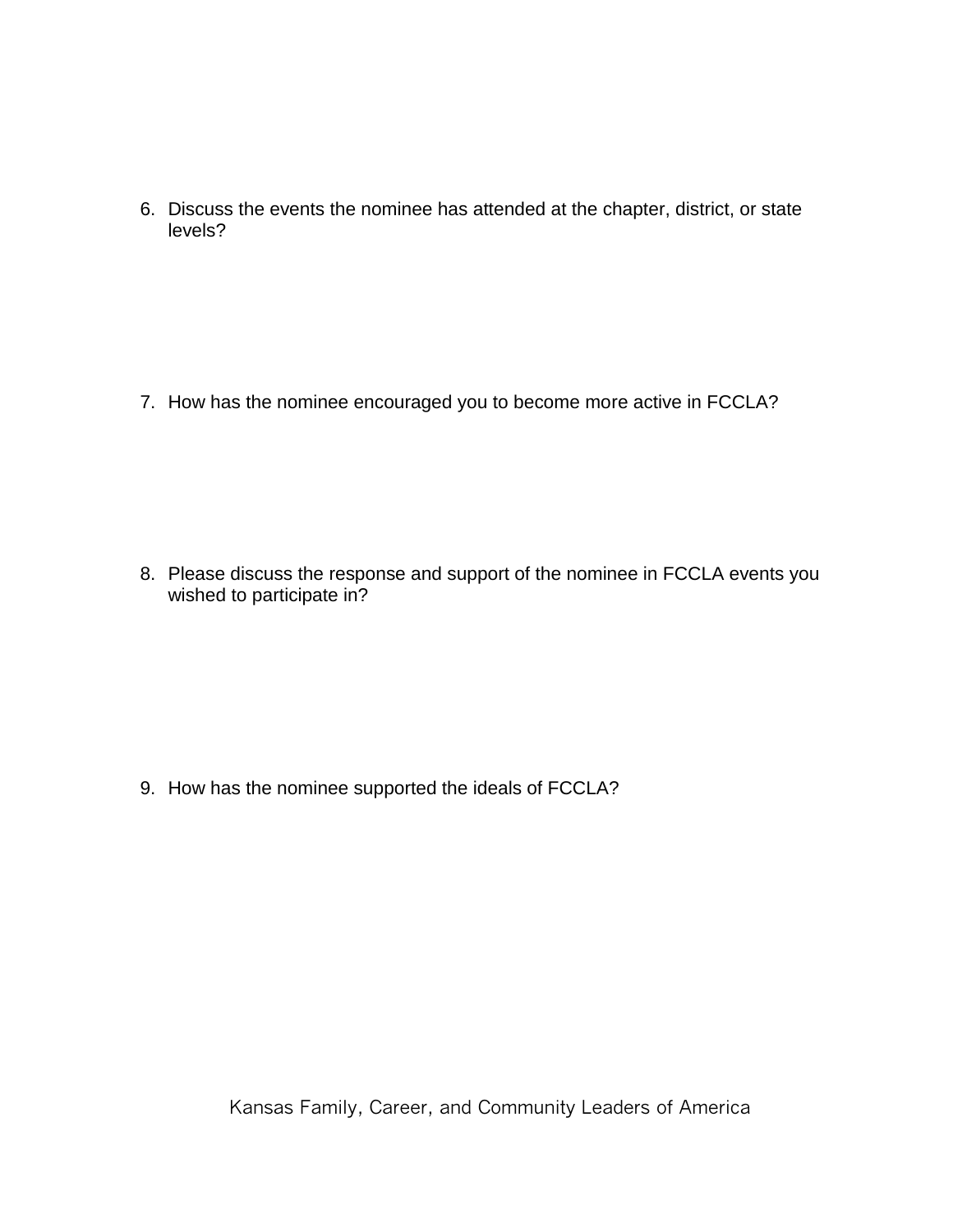6. Discuss the events the nominee has attended at the chapter, district, or state levels?

7. How has the nominee encouraged you to become more active in FCCLA?

8. Please discuss the response and support of the nominee in FCCLA events you wished to participate in?

9. How has the nominee supported the ideals of FCCLA?